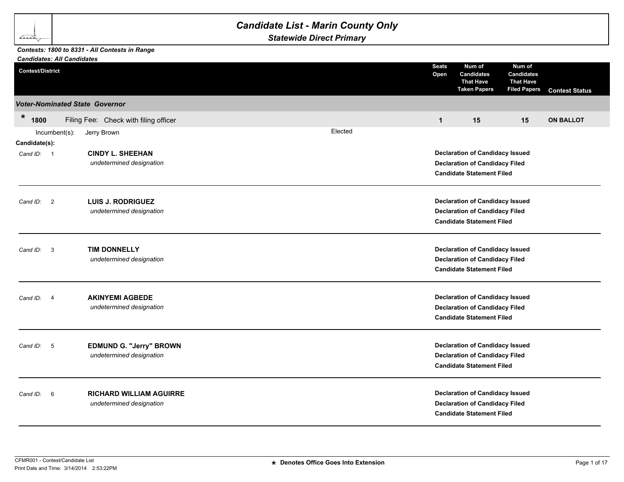## *Candidate List - Marin County Only*

*Statewide Direct Primary*

## *Contests: 1800 to 8331 - All Contests in Range*

∠≅≥≥

| <b>Candidates: All Candidates</b> |                                                            |         |                                                                                                                     |                                                                                                                     |                                                                        |                       |  |
|-----------------------------------|------------------------------------------------------------|---------|---------------------------------------------------------------------------------------------------------------------|---------------------------------------------------------------------------------------------------------------------|------------------------------------------------------------------------|-----------------------|--|
| <b>Contest/District</b>           |                                                            |         | <b>Seats</b><br>Open                                                                                                | Num of<br><b>Candidates</b><br><b>That Have</b><br><b>Taken Papers</b>                                              | Num of<br><b>Candidates</b><br><b>That Have</b><br><b>Filed Papers</b> | <b>Contest Status</b> |  |
|                                   | <b>Voter-Nominated State Governor</b>                      |         |                                                                                                                     |                                                                                                                     |                                                                        |                       |  |
| $\ast$<br>1800                    | Filing Fee: Check with filing officer                      |         | $\mathbf{1}$                                                                                                        | 15                                                                                                                  | 15                                                                     | <b>ON BALLOT</b>      |  |
| Incumbent(s):<br>Candidate(s):    | Jerry Brown                                                | Elected |                                                                                                                     |                                                                                                                     |                                                                        |                       |  |
| Cand ID: 1                        | <b>CINDY L. SHEEHAN</b><br>undetermined designation        |         | <b>Declaration of Candidacy Issued</b><br><b>Declaration of Candidacy Filed</b><br><b>Candidate Statement Filed</b> |                                                                                                                     |                                                                        |                       |  |
| Cand ID: 2                        | <b>LUIS J. RODRIGUEZ</b><br>undetermined designation       |         | <b>Declaration of Candidacy Issued</b><br><b>Declaration of Candidacy Filed</b><br><b>Candidate Statement Filed</b> |                                                                                                                     |                                                                        |                       |  |
| Cand ID: 3                        | <b>TIM DONNELLY</b><br>undetermined designation            |         | <b>Declaration of Candidacy Issued</b><br><b>Declaration of Candidacy Filed</b><br><b>Candidate Statement Filed</b> |                                                                                                                     |                                                                        |                       |  |
| Cand ID:<br>-4                    | <b>AKINYEMI AGBEDE</b><br>undetermined designation         |         |                                                                                                                     | <b>Declaration of Candidacy Issued</b><br><b>Declaration of Candidacy Filed</b><br><b>Candidate Statement Filed</b> |                                                                        |                       |  |
| - 5<br>Cand ID:                   | EDMUND G. "Jerry" BROWN<br>undetermined designation        |         |                                                                                                                     | <b>Declaration of Candidacy Issued</b><br><b>Declaration of Candidacy Filed</b><br><b>Candidate Statement Filed</b> |                                                                        |                       |  |
| 6<br>Cand ID:                     | <b>RICHARD WILLIAM AGUIRRE</b><br>undetermined designation |         |                                                                                                                     | <b>Declaration of Candidacy Issued</b><br><b>Declaration of Candidacy Filed</b><br><b>Candidate Statement Filed</b> |                                                                        |                       |  |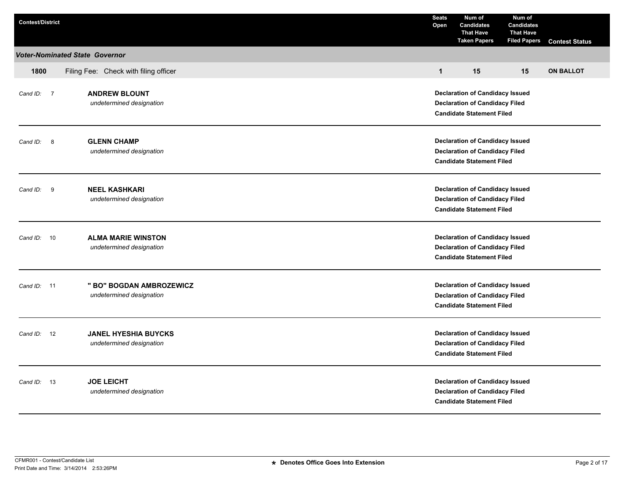| <b>Contest/District</b> |                                                         | <b>Seats</b><br>Open                                                                                                | Num of<br><b>Candidates</b><br><b>That Have</b><br><b>Taken Papers</b>                                              | Num of<br><b>Candidates</b><br><b>That Have</b><br><b>Filed Papers</b> | <b>Contest Status</b> |  |
|-------------------------|---------------------------------------------------------|---------------------------------------------------------------------------------------------------------------------|---------------------------------------------------------------------------------------------------------------------|------------------------------------------------------------------------|-----------------------|--|
|                         | <b>Voter-Nominated State Governor</b>                   |                                                                                                                     |                                                                                                                     |                                                                        |                       |  |
| 1800                    | Filing Fee: Check with filing officer                   | $\mathbf{1}$                                                                                                        | 15                                                                                                                  | 15                                                                     | <b>ON BALLOT</b>      |  |
| Cand ID: 7              | <b>ANDREW BLOUNT</b><br>undetermined designation        | <b>Declaration of Candidacy Issued</b><br><b>Declaration of Candidacy Filed</b><br><b>Candidate Statement Filed</b> |                                                                                                                     |                                                                        |                       |  |
| Cand ID:<br>8           | <b>GLENN CHAMP</b><br>undetermined designation          | <b>Declaration of Candidacy Issued</b><br><b>Declaration of Candidacy Filed</b><br><b>Candidate Statement Filed</b> |                                                                                                                     |                                                                        |                       |  |
| Cand ID: 9              | <b>NEEL KASHKARI</b><br>undetermined designation        | <b>Declaration of Candidacy Issued</b><br><b>Declaration of Candidacy Filed</b><br><b>Candidate Statement Filed</b> |                                                                                                                     |                                                                        |                       |  |
| Cand ID: 10             | <b>ALMA MARIE WINSTON</b><br>undetermined designation   |                                                                                                                     | <b>Declaration of Candidacy Issued</b><br><b>Declaration of Candidacy Filed</b><br><b>Candidate Statement Filed</b> |                                                                        |                       |  |
| Cand $ID: 11$           | " BO" BOGDAN AMBROZEWICZ<br>undetermined designation    |                                                                                                                     | <b>Declaration of Candidacy Issued</b><br><b>Declaration of Candidacy Filed</b><br><b>Candidate Statement Filed</b> |                                                                        |                       |  |
| Cand ID: 12             | <b>JANEL HYESHIA BUYCKS</b><br>undetermined designation |                                                                                                                     | <b>Declaration of Candidacy Issued</b><br><b>Declaration of Candidacy Filed</b><br><b>Candidate Statement Filed</b> |                                                                        |                       |  |
| Cand ID: 13             | <b>JOE LEICHT</b><br>undetermined designation           | <b>Declaration of Candidacy Issued</b><br><b>Declaration of Candidacy Filed</b><br><b>Candidate Statement Filed</b> |                                                                                                                     |                                                                        |                       |  |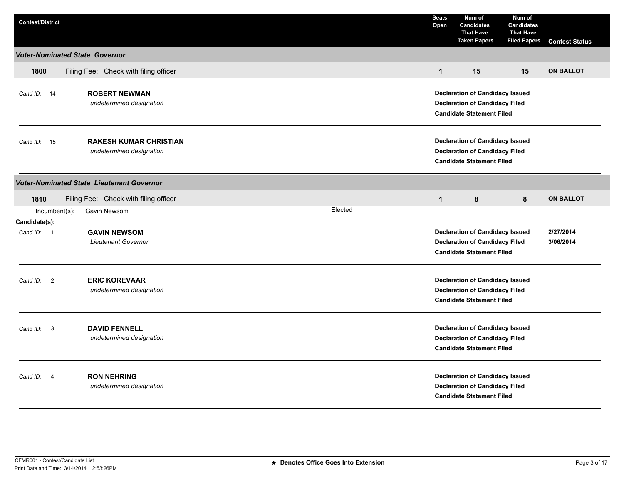| <b>Contest/District</b>                                                                                              |         | <b>Seats</b><br>Open                                                                                                | Num of<br><b>Candidates</b><br><b>That Have</b><br><b>Taken Papers</b>                                              | Num of<br><b>Candidates</b><br><b>That Have</b><br><b>Filed Papers</b> | <b>Contest Status</b>  |  |
|----------------------------------------------------------------------------------------------------------------------|---------|---------------------------------------------------------------------------------------------------------------------|---------------------------------------------------------------------------------------------------------------------|------------------------------------------------------------------------|------------------------|--|
| <b>Voter-Nominated State Governor</b>                                                                                |         |                                                                                                                     |                                                                                                                     |                                                                        |                        |  |
| 1800<br>Filing Fee: Check with filing officer                                                                        |         | $\mathbf{1}$                                                                                                        | 15                                                                                                                  | 15                                                                     | <b>ON BALLOT</b>       |  |
| <b>ROBERT NEWMAN</b><br>Cand ID: 14<br>undetermined designation                                                      |         | <b>Declaration of Candidacy Issued</b><br><b>Declaration of Candidacy Filed</b><br><b>Candidate Statement Filed</b> |                                                                                                                     |                                                                        |                        |  |
| <b>RAKESH KUMAR CHRISTIAN</b><br>15<br>Cand ID:<br>undetermined designation                                          |         | <b>Declaration of Candidacy Issued</b><br><b>Declaration of Candidacy Filed</b><br><b>Candidate Statement Filed</b> |                                                                                                                     |                                                                        |                        |  |
| <b>Voter-Nominated State Lieutenant Governor</b>                                                                     |         |                                                                                                                     |                                                                                                                     |                                                                        |                        |  |
| Filing Fee: Check with filing officer<br>1810                                                                        |         | $\mathbf{1}$                                                                                                        | 8                                                                                                                   | 8                                                                      | <b>ON BALLOT</b>       |  |
| $Incumbent(s)$ :<br>Gavin Newsom<br>Candidate(s):<br><b>GAVIN NEWSOM</b><br>Cand ID: 1<br><b>Lieutenant Governor</b> | Elected |                                                                                                                     | <b>Declaration of Candidacy Issued</b><br><b>Declaration of Candidacy Filed</b><br><b>Candidate Statement Filed</b> |                                                                        | 2/27/2014<br>3/06/2014 |  |
| <b>ERIC KOREVAAR</b><br>Cand ID:<br>$\overline{\mathbf{2}}$<br>undetermined designation                              |         |                                                                                                                     | <b>Declaration of Candidacy Issued</b><br><b>Declaration of Candidacy Filed</b><br><b>Candidate Statement Filed</b> |                                                                        |                        |  |
| <b>DAVID FENNELL</b><br>Cand ID:<br>$\overline{\mathbf{3}}$<br>undetermined designation                              |         |                                                                                                                     | <b>Declaration of Candidacy Issued</b><br><b>Declaration of Candidacy Filed</b><br><b>Candidate Statement Filed</b> |                                                                        |                        |  |
| <b>RON NEHRING</b><br>Cand ID:<br>- 4<br>undetermined designation                                                    |         |                                                                                                                     | <b>Declaration of Candidacy Issued</b><br><b>Declaration of Candidacy Filed</b><br><b>Candidate Statement Filed</b> |                                                                        |                        |  |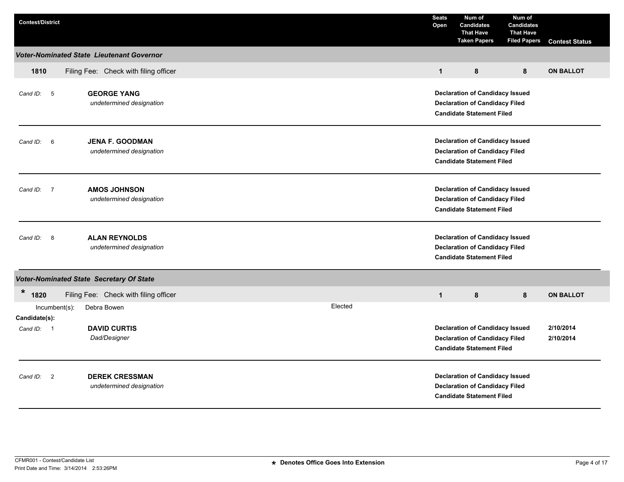| <b>Contest/District</b>                                 |                                                      |                                                                                                                     | <b>Seats</b><br>Open                                                                                                                          | Num of<br><b>Candidates</b><br><b>That Have</b><br><b>Taken Papers</b>                                              | Num of<br><b>Candidates</b><br><b>That Have</b><br><b>Filed Papers</b> | <b>Contest Status</b> |  |
|---------------------------------------------------------|------------------------------------------------------|---------------------------------------------------------------------------------------------------------------------|-----------------------------------------------------------------------------------------------------------------------------------------------|---------------------------------------------------------------------------------------------------------------------|------------------------------------------------------------------------|-----------------------|--|
|                                                         | <b>Voter-Nominated State Lieutenant Governor</b>     |                                                                                                                     |                                                                                                                                               |                                                                                                                     |                                                                        |                       |  |
| 1810                                                    | Filing Fee: Check with filing officer                |                                                                                                                     | $\mathbf{1}$                                                                                                                                  | 8                                                                                                                   | 8                                                                      | <b>ON BALLOT</b>      |  |
| Cand ID: 5                                              | <b>GEORGE YANG</b><br>undetermined designation       |                                                                                                                     | <b>Declaration of Candidacy Issued</b><br><b>Declaration of Candidacy Filed</b><br><b>Candidate Statement Filed</b>                           |                                                                                                                     |                                                                        |                       |  |
| 6<br>Cand ID:                                           | <b>JENA F. GOODMAN</b><br>undetermined designation   |                                                                                                                     | <b>Declaration of Candidacy Issued</b><br><b>Declaration of Candidacy Filed</b><br><b>Candidate Statement Filed</b>                           |                                                                                                                     |                                                                        |                       |  |
| Cand ID:<br>$\overline{7}$                              | <b>AMOS JOHNSON</b><br>undetermined designation      |                                                                                                                     | <b>Declaration of Candidacy Issued</b><br><b>Declaration of Candidacy Filed</b><br><b>Candidate Statement Filed</b>                           |                                                                                                                     |                                                                        |                       |  |
| - 8<br>Cand ID:                                         | <b>ALAN REYNOLDS</b><br>undetermined designation     |                                                                                                                     |                                                                                                                                               | <b>Declaration of Candidacy Issued</b><br><b>Declaration of Candidacy Filed</b><br><b>Candidate Statement Filed</b> |                                                                        |                       |  |
|                                                         | Voter-Nominated State Secretary Of State             |                                                                                                                     |                                                                                                                                               |                                                                                                                     |                                                                        |                       |  |
| *<br>1820<br>$Incumbent(s)$ :                           | Filing Fee: Check with filing officer<br>Debra Bowen | Elected                                                                                                             | $\mathbf{1}$                                                                                                                                  | 8                                                                                                                   | 8                                                                      | <b>ON BALLOT</b>      |  |
| Candidate(s):<br>Cand ID:<br>$\overline{\phantom{0}}$ 1 | <b>DAVID CURTIS</b><br>Dad/Designer                  |                                                                                                                     | <b>Declaration of Candidacy Issued</b><br>2/10/2014<br><b>Declaration of Candidacy Filed</b><br>2/10/2014<br><b>Candidate Statement Filed</b> |                                                                                                                     |                                                                        |                       |  |
| $\overline{2}$<br>Cand ID:                              | <b>DEREK CRESSMAN</b><br>undetermined designation    | <b>Declaration of Candidacy Issued</b><br><b>Declaration of Candidacy Filed</b><br><b>Candidate Statement Filed</b> |                                                                                                                                               |                                                                                                                     |                                                                        |                       |  |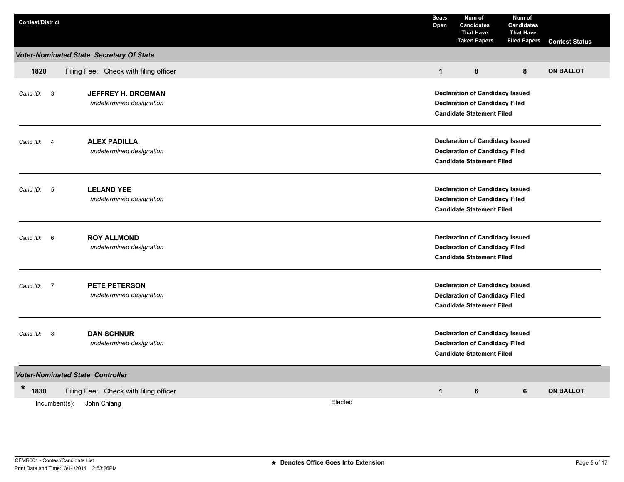| <b>Contest/District</b>     |                                                       |         | <b>Seats</b><br>Open                                                                                                | Num of<br><b>Candidates</b><br><b>That Have</b><br><b>Taken Papers</b> | Num of<br><b>Candidates</b><br><b>That Have</b><br><b>Filed Papers</b> | <b>Contest Status</b> |  |
|-----------------------------|-------------------------------------------------------|---------|---------------------------------------------------------------------------------------------------------------------|------------------------------------------------------------------------|------------------------------------------------------------------------|-----------------------|--|
|                             | Voter-Nominated State Secretary Of State              |         |                                                                                                                     |                                                                        |                                                                        |                       |  |
| 1820                        | Filing Fee: Check with filing officer                 |         | $\mathbf{1}$                                                                                                        | 8                                                                      | 8                                                                      | <b>ON BALLOT</b>      |  |
| Cand ID: 3                  | <b>JEFFREY H. DROBMAN</b><br>undetermined designation |         | <b>Declaration of Candidacy Issued</b><br><b>Declaration of Candidacy Filed</b><br><b>Candidate Statement Filed</b> |                                                                        |                                                                        |                       |  |
| $\overline{4}$<br>Cand ID:  | <b>ALEX PADILLA</b><br>undetermined designation       |         | <b>Declaration of Candidacy Issued</b><br><b>Declaration of Candidacy Filed</b><br><b>Candidate Statement Filed</b> |                                                                        |                                                                        |                       |  |
| Cand ID: 5                  | <b>LELAND YEE</b><br>undetermined designation         |         | <b>Declaration of Candidacy Issued</b><br><b>Declaration of Candidacy Filed</b><br><b>Candidate Statement Filed</b> |                                                                        |                                                                        |                       |  |
| $6\overline{6}$<br>Cand ID: | <b>ROY ALLMOND</b><br>undetermined designation        |         | <b>Declaration of Candidacy Issued</b><br><b>Declaration of Candidacy Filed</b><br><b>Candidate Statement Filed</b> |                                                                        |                                                                        |                       |  |
| Cand ID: 7                  | <b>PETE PETERSON</b><br>undetermined designation      |         | <b>Declaration of Candidacy Issued</b><br><b>Declaration of Candidacy Filed</b><br><b>Candidate Statement Filed</b> |                                                                        |                                                                        |                       |  |
| Cand ID: 8                  | <b>DAN SCHNUR</b><br>undetermined designation         |         | <b>Declaration of Candidacy Issued</b><br><b>Declaration of Candidacy Filed</b><br><b>Candidate Statement Filed</b> |                                                                        |                                                                        |                       |  |
|                             | <b>Voter-Nominated State Controller</b>               |         |                                                                                                                     |                                                                        |                                                                        |                       |  |
| *<br>1830                   | Filing Fee: Check with filing officer                 |         | $\mathbf{1}$                                                                                                        | 6                                                                      | 6                                                                      | <b>ON BALLOT</b>      |  |
|                             | Incumbent(s):<br>John Chiang                          | Elected |                                                                                                                     |                                                                        |                                                                        |                       |  |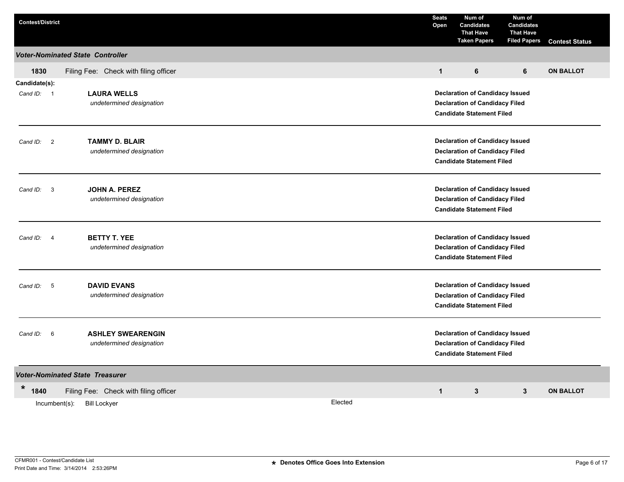| <b>Contest/District</b>             |                                           |         | <b>Seats</b><br>Open                                                                                                                                                                                                                                                                                                                                                                                                                                                                                                                                                                                            | Num of<br><b>Candidates</b><br><b>That Have</b><br><b>Taken Papers</b> | Num of<br><b>Candidates</b><br><b>That Have</b><br><b>Filed Papers</b> | <b>Contest Status</b> |  |  |  |
|-------------------------------------|-------------------------------------------|---------|-----------------------------------------------------------------------------------------------------------------------------------------------------------------------------------------------------------------------------------------------------------------------------------------------------------------------------------------------------------------------------------------------------------------------------------------------------------------------------------------------------------------------------------------------------------------------------------------------------------------|------------------------------------------------------------------------|------------------------------------------------------------------------|-----------------------|--|--|--|
|                                     | <b>Voter-Nominated State Controller</b>   |         |                                                                                                                                                                                                                                                                                                                                                                                                                                                                                                                                                                                                                 |                                                                        |                                                                        |                       |  |  |  |
| 1830                                | Filing Fee: Check with filing officer     |         | $\mathbf{1}$                                                                                                                                                                                                                                                                                                                                                                                                                                                                                                                                                                                                    | 6                                                                      | 6                                                                      | <b>ON BALLOT</b>      |  |  |  |
| Candidate(s):                       |                                           |         |                                                                                                                                                                                                                                                                                                                                                                                                                                                                                                                                                                                                                 |                                                                        |                                                                        |                       |  |  |  |
| Cand ID: 1                          | <b>LAURA WELLS</b>                        |         |                                                                                                                                                                                                                                                                                                                                                                                                                                                                                                                                                                                                                 |                                                                        |                                                                        |                       |  |  |  |
|                                     | undetermined designation                  |         |                                                                                                                                                                                                                                                                                                                                                                                                                                                                                                                                                                                                                 |                                                                        |                                                                        |                       |  |  |  |
|                                     |                                           |         | <b>Declaration of Candidacy Issued</b><br><b>Declaration of Candidacy Filed</b><br><b>Candidate Statement Filed</b><br><b>Declaration of Candidacy Issued</b><br><b>Declaration of Candidacy Filed</b><br><b>Candidate Statement Filed</b><br><b>Declaration of Candidacy Issued</b><br><b>Declaration of Candidacy Filed</b><br><b>Candidate Statement Filed</b><br><b>Declaration of Candidacy Issued</b><br><b>Declaration of Candidacy Filed</b><br><b>Candidate Statement Filed</b><br><b>Declaration of Candidacy Issued</b><br><b>Declaration of Candidacy Filed</b><br><b>Candidate Statement Filed</b> |                                                                        |                                                                        |                       |  |  |  |
| $\overline{2}$<br>Cand ID:          | <b>TAMMY D. BLAIR</b>                     |         |                                                                                                                                                                                                                                                                                                                                                                                                                                                                                                                                                                                                                 |                                                                        |                                                                        |                       |  |  |  |
| undetermined designation            |                                           |         |                                                                                                                                                                                                                                                                                                                                                                                                                                                                                                                                                                                                                 |                                                                        |                                                                        |                       |  |  |  |
|                                     |                                           |         |                                                                                                                                                                                                                                                                                                                                                                                                                                                                                                                                                                                                                 |                                                                        |                                                                        |                       |  |  |  |
|                                     |                                           |         |                                                                                                                                                                                                                                                                                                                                                                                                                                                                                                                                                                                                                 |                                                                        |                                                                        |                       |  |  |  |
| Cand ID:<br>$\overline{\mathbf{3}}$ | JOHN A. PEREZ<br>undetermined designation |         |                                                                                                                                                                                                                                                                                                                                                                                                                                                                                                                                                                                                                 |                                                                        |                                                                        |                       |  |  |  |
|                                     |                                           |         |                                                                                                                                                                                                                                                                                                                                                                                                                                                                                                                                                                                                                 |                                                                        |                                                                        |                       |  |  |  |
|                                     |                                           |         |                                                                                                                                                                                                                                                                                                                                                                                                                                                                                                                                                                                                                 |                                                                        |                                                                        |                       |  |  |  |
| Cand ID:<br>$\overline{4}$          | <b>BETTY T. YEE</b>                       |         |                                                                                                                                                                                                                                                                                                                                                                                                                                                                                                                                                                                                                 |                                                                        |                                                                        |                       |  |  |  |
|                                     | undetermined designation                  |         |                                                                                                                                                                                                                                                                                                                                                                                                                                                                                                                                                                                                                 |                                                                        |                                                                        |                       |  |  |  |
|                                     |                                           |         |                                                                                                                                                                                                                                                                                                                                                                                                                                                                                                                                                                                                                 |                                                                        |                                                                        |                       |  |  |  |
| Cand ID:<br>$-5$                    | <b>DAVID EVANS</b>                        |         |                                                                                                                                                                                                                                                                                                                                                                                                                                                                                                                                                                                                                 |                                                                        |                                                                        |                       |  |  |  |
|                                     | undetermined designation                  |         | <b>Declaration of Candidacy Issued</b><br><b>Declaration of Candidacy Filed</b><br><b>Candidate Statement Filed</b><br>$\mathbf{1}$<br>$\mathbf{3}$<br>3<br><b>ON BALLOT</b>                                                                                                                                                                                                                                                                                                                                                                                                                                    |                                                                        |                                                                        |                       |  |  |  |
|                                     |                                           |         |                                                                                                                                                                                                                                                                                                                                                                                                                                                                                                                                                                                                                 |                                                                        |                                                                        |                       |  |  |  |
|                                     | <b>ASHLEY SWEARENGIN</b>                  |         |                                                                                                                                                                                                                                                                                                                                                                                                                                                                                                                                                                                                                 |                                                                        |                                                                        |                       |  |  |  |
| Cand ID:<br>6                       | undetermined designation                  |         |                                                                                                                                                                                                                                                                                                                                                                                                                                                                                                                                                                                                                 |                                                                        |                                                                        |                       |  |  |  |
|                                     |                                           |         |                                                                                                                                                                                                                                                                                                                                                                                                                                                                                                                                                                                                                 |                                                                        |                                                                        |                       |  |  |  |
|                                     | <b>Voter-Nominated State Treasurer</b>    |         |                                                                                                                                                                                                                                                                                                                                                                                                                                                                                                                                                                                                                 |                                                                        |                                                                        |                       |  |  |  |
| $\star$<br>1840                     | Filing Fee: Check with filing officer     |         |                                                                                                                                                                                                                                                                                                                                                                                                                                                                                                                                                                                                                 |                                                                        |                                                                        |                       |  |  |  |
| Incumbent(s):                       | <b>Bill Lockver</b>                       | Elected |                                                                                                                                                                                                                                                                                                                                                                                                                                                                                                                                                                                                                 |                                                                        |                                                                        |                       |  |  |  |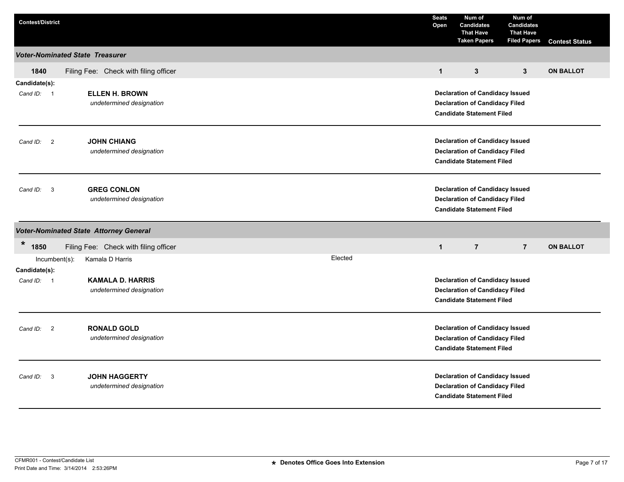| <b>Contest/District</b>                |                                                     |         | <b>Seats</b><br>Open | Num of<br><b>Candidates</b><br><b>That Have</b><br><b>Taken Papers</b>                                              | Num of<br><b>Candidates</b><br><b>That Have</b><br><b>Filed Papers</b> | <b>Contest Status</b> |  |
|----------------------------------------|-----------------------------------------------------|---------|----------------------|---------------------------------------------------------------------------------------------------------------------|------------------------------------------------------------------------|-----------------------|--|
| <b>Voter-Nominated State Treasurer</b> |                                                     |         |                      |                                                                                                                     |                                                                        |                       |  |
| 1840                                   | Filing Fee: Check with filing officer               |         | $\mathbf{1}$         | $\mathbf{3}$                                                                                                        | $\mathbf{3}$                                                           | <b>ON BALLOT</b>      |  |
| Candidate(s):<br>Cand ID: 1            | <b>ELLEN H. BROWN</b><br>undetermined designation   |         |                      | <b>Declaration of Candidacy Issued</b><br><b>Declaration of Candidacy Filed</b><br><b>Candidate Statement Filed</b> |                                                                        |                       |  |
| Cand ID: 2                             | <b>JOHN CHIANG</b><br>undetermined designation      |         |                      | <b>Declaration of Candidacy Issued</b><br><b>Declaration of Candidacy Filed</b><br><b>Candidate Statement Filed</b> |                                                                        |                       |  |
| Cand ID: 3                             | <b>GREG CONLON</b><br>undetermined designation      |         |                      | <b>Declaration of Candidacy Issued</b><br><b>Declaration of Candidacy Filed</b><br><b>Candidate Statement Filed</b> |                                                                        |                       |  |
|                                        | <b>Voter-Nominated State Attorney General</b>       |         |                      |                                                                                                                     |                                                                        |                       |  |
| $\star$<br>1850                        | Filing Fee: Check with filing officer               |         | $\mathbf{1}$         | $\overline{7}$                                                                                                      | $\overline{7}$                                                         | <b>ON BALLOT</b>      |  |
| Incumbent(s):<br>Candidate(s):         | Kamala D Harris                                     | Elected |                      |                                                                                                                     |                                                                        |                       |  |
| Cand ID: 1                             | <b>KAMALA D. HARRIS</b><br>undetermined designation |         |                      | <b>Declaration of Candidacy Issued</b><br><b>Declaration of Candidacy Filed</b><br><b>Candidate Statement Filed</b> |                                                                        |                       |  |
| Cand ID: 2                             | <b>RONALD GOLD</b><br>undetermined designation      |         |                      | <b>Declaration of Candidacy Issued</b><br><b>Declaration of Candidacy Filed</b><br><b>Candidate Statement Filed</b> |                                                                        |                       |  |
| Cand ID: 3                             | <b>JOHN HAGGERTY</b><br>undetermined designation    |         |                      | <b>Declaration of Candidacy Issued</b><br><b>Declaration of Candidacy Filed</b><br><b>Candidate Statement Filed</b> |                                                                        |                       |  |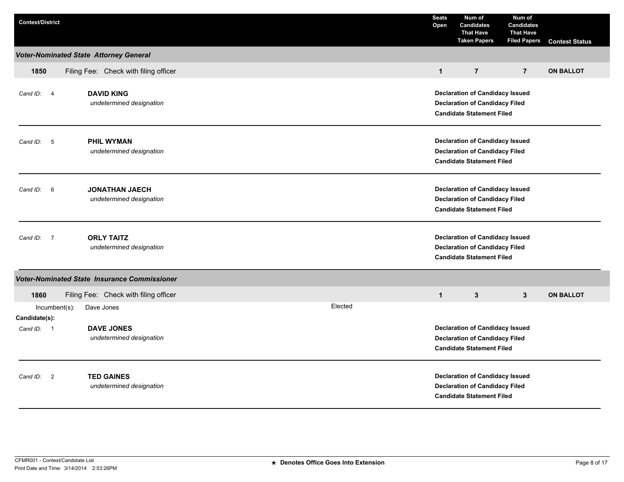| <b>Contest/District</b>             |                                                                                                                                                                      |  |         | <b>Seats</b><br>Open                                                                                                | Num of<br><b>Candidates</b><br><b>That Have</b><br><b>Taken Papers</b>                                              | Num of<br><b>Candidates</b><br><b>That Have</b><br><b>Filed Papers</b> | <b>Contest Status</b> |
|-------------------------------------|----------------------------------------------------------------------------------------------------------------------------------------------------------------------|--|---------|---------------------------------------------------------------------------------------------------------------------|---------------------------------------------------------------------------------------------------------------------|------------------------------------------------------------------------|-----------------------|
|                                     | <b>Voter-Nominated State Attorney General</b>                                                                                                                        |  |         |                                                                                                                     |                                                                                                                     |                                                                        |                       |
| 1850                                | Filing Fee: Check with filing officer                                                                                                                                |  |         | $\mathbf{1}$                                                                                                        | $\overline{7}$                                                                                                      | $\overline{7}$                                                         | <b>ON BALLOT</b>      |
| Cand ID: 4                          | <b>DAVID KING</b><br><b>Declaration of Candidacy Issued</b><br>undetermined designation<br><b>Declaration of Candidacy Filed</b><br><b>Candidate Statement Filed</b> |  |         |                                                                                                                     |                                                                                                                     |                                                                        |                       |
| $-5$<br>Cand ID:                    | <b>PHIL WYMAN</b><br>undetermined designation                                                                                                                        |  |         | <b>Declaration of Candidacy Issued</b><br><b>Declaration of Candidacy Filed</b><br><b>Candidate Statement Filed</b> |                                                                                                                     |                                                                        |                       |
| Cand ID:<br>6                       | <b>JONATHAN JAECH</b><br>undetermined designation                                                                                                                    |  |         | <b>Declaration of Candidacy Issued</b><br><b>Declaration of Candidacy Filed</b><br><b>Candidate Statement Filed</b> |                                                                                                                     |                                                                        |                       |
| $\overline{7}$<br>Cand ID:          | <b>ORLY TAITZ</b><br>undetermined designation                                                                                                                        |  |         |                                                                                                                     | <b>Declaration of Candidacy Issued</b><br><b>Declaration of Candidacy Filed</b><br><b>Candidate Statement Filed</b> |                                                                        |                       |
|                                     | Voter-Nominated State Insurance Commissioner                                                                                                                         |  |         |                                                                                                                     |                                                                                                                     |                                                                        |                       |
| 1860<br>$Incumbent(s)$ :            | Filing Fee: Check with filing officer<br>Dave Jones                                                                                                                  |  | Elected | $\mathbf{1}$                                                                                                        | 3                                                                                                                   | 3                                                                      | <b>ON BALLOT</b>      |
| Candidate(s):<br>Cand ID: 1         | <b>DAVE JONES</b><br>undetermined designation                                                                                                                        |  |         | <b>Declaration of Candidacy Issued</b><br><b>Declaration of Candidacy Filed</b><br><b>Candidate Statement Filed</b> |                                                                                                                     |                                                                        |                       |
| $\overline{\mathbf{2}}$<br>Cand ID: | <b>TED GAINES</b><br>undetermined designation                                                                                                                        |  |         | <b>Declaration of Candidacy Issued</b><br><b>Declaration of Candidacy Filed</b><br><b>Candidate Statement Filed</b> |                                                                                                                     |                                                                        |                       |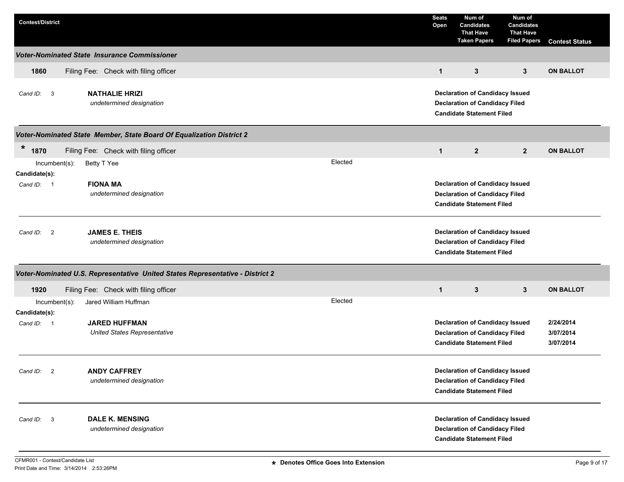| <b>Contest/District</b>                                                                  | <b>Seats</b><br>Open | Num of<br><b>Candidates</b><br><b>That Have</b><br><b>Taken Papers</b>                                              | Num of<br><b>Candidates</b><br><b>That Have</b><br><b>Filed Papers</b> | <b>Contest Status</b>               |  |
|------------------------------------------------------------------------------------------|----------------------|---------------------------------------------------------------------------------------------------------------------|------------------------------------------------------------------------|-------------------------------------|--|
| <b>Voter-Nominated State Insurance Commissioner</b>                                      |                      |                                                                                                                     |                                                                        |                                     |  |
| 1860<br>Filing Fee: Check with filing officer                                            | $\mathbf{1}$         | 3                                                                                                                   | 3                                                                      | <b>ON BALLOT</b>                    |  |
| <b>NATHALIE HRIZI</b><br>Cand ID: 3<br>undetermined designation                          |                      | <b>Declaration of Candidacy Issued</b><br><b>Declaration of Candidacy Filed</b><br><b>Candidate Statement Filed</b> |                                                                        |                                     |  |
| Voter-Nominated State Member, State Board Of Equalization District 2                     |                      |                                                                                                                     |                                                                        |                                     |  |
| $\star$<br>1870<br>Filing Fee: Check with filing officer                                 | $\mathbf{1}$         | $\overline{2}$                                                                                                      | $\overline{2}$                                                         | <b>ON BALLOT</b>                    |  |
| Elected<br>Betty T Yee<br>$Incumbent(s)$ :                                               |                      |                                                                                                                     |                                                                        |                                     |  |
| Candidate(s):<br><b>FIONA MA</b><br>Cand ID: 1<br>undetermined designation               |                      | <b>Declaration of Candidacy Issued</b><br><b>Declaration of Candidacy Filed</b><br><b>Candidate Statement Filed</b> |                                                                        |                                     |  |
| <b>JAMES E. THEIS</b><br>$\overline{\mathbf{2}}$<br>Cand ID:<br>undetermined designation |                      | <b>Declaration of Candidacy Issued</b><br><b>Declaration of Candidacy Filed</b><br><b>Candidate Statement Filed</b> |                                                                        |                                     |  |
| Voter-Nominated U.S. Representative United States Representative - District 2            |                      |                                                                                                                     |                                                                        |                                     |  |
| 1920<br>Filing Fee: Check with filing officer                                            | $\mathbf{1}$         | $\mathbf{3}$                                                                                                        | $\mathbf{3}$                                                           | <b>ON BALLOT</b>                    |  |
| Elected<br>Jared William Huffman<br>Incumbent(s):<br>Candidate(s):                       |                      |                                                                                                                     |                                                                        |                                     |  |
| <b>JARED HUFFMAN</b><br>Cand ID: 1<br><b>United States Representative</b>                |                      | <b>Declaration of Candidacy Issued</b><br><b>Declaration of Candidacy Filed</b><br><b>Candidate Statement Filed</b> |                                                                        | 2/24/2014<br>3/07/2014<br>3/07/2014 |  |
| <b>ANDY CAFFREY</b><br>Cand ID: 2<br>undetermined designation                            |                      | <b>Declaration of Candidacy Issued</b><br><b>Declaration of Candidacy Filed</b><br><b>Candidate Statement Filed</b> |                                                                        |                                     |  |
| <b>DALE K. MENSING</b><br>Cand ID: 3<br>undetermined designation                         |                      | <b>Declaration of Candidacy Issued</b><br><b>Declaration of Candidacy Filed</b><br><b>Candidate Statement Filed</b> |                                                                        |                                     |  |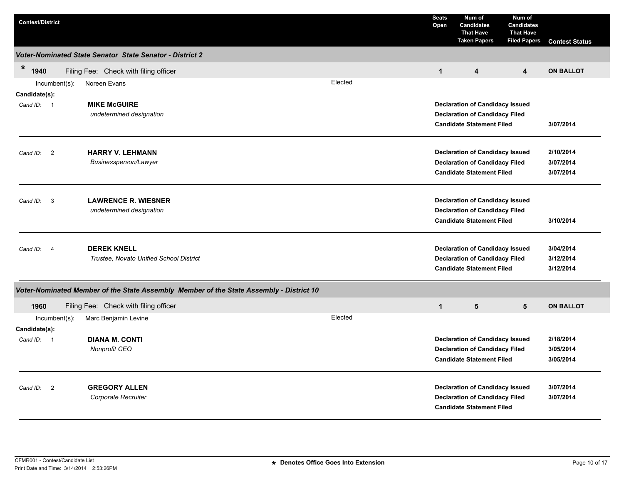| <b>Contest/District</b>           |                                                                                         |         | <b>Seats</b><br>Open                                                                                                | Num of<br><b>Candidates</b><br><b>That Have</b><br><b>Taken Papers</b>                                              | Num of<br><b>Candidates</b><br><b>That Have</b><br><b>Filed Papers</b> | <b>Contest Status</b>               |
|-----------------------------------|-----------------------------------------------------------------------------------------|---------|---------------------------------------------------------------------------------------------------------------------|---------------------------------------------------------------------------------------------------------------------|------------------------------------------------------------------------|-------------------------------------|
|                                   | Voter-Nominated State Senator State Senator - District 2                                |         |                                                                                                                     |                                                                                                                     |                                                                        |                                     |
| $\ast$<br>1940                    | Filing Fee: Check with filing officer                                                   |         | $\mathbf{1}$                                                                                                        | $\overline{\mathbf{4}}$                                                                                             | $\overline{\mathbf{4}}$                                                | <b>ON BALLOT</b>                    |
| $Incumbent(s)$ :<br>Candidate(s): | Noreen Evans                                                                            | Elected |                                                                                                                     |                                                                                                                     |                                                                        |                                     |
| Cand ID: 1                        | <b>MIKE McGUIRE</b><br>undetermined designation                                         |         | <b>Declaration of Candidacy Issued</b><br><b>Declaration of Candidacy Filed</b><br><b>Candidate Statement Filed</b> | 3/07/2014                                                                                                           |                                                                        |                                     |
| $\overline{2}$<br>Cand ID:        | <b>HARRY V. LEHMANN</b><br>Businessperson/Lawyer                                        |         | <b>Declaration of Candidacy Issued</b><br><b>Declaration of Candidacy Filed</b><br><b>Candidate Statement Filed</b> | 2/10/2014<br>3/07/2014<br>3/07/2014                                                                                 |                                                                        |                                     |
| -3<br>Cand ID:                    | <b>LAWRENCE R. WIESNER</b><br>undetermined designation                                  |         |                                                                                                                     | <b>Declaration of Candidacy Issued</b><br><b>Declaration of Candidacy Filed</b><br><b>Candidate Statement Filed</b> |                                                                        | 3/10/2014                           |
| Cand ID:<br>$\overline{4}$        | <b>DEREK KNELL</b><br>Trustee, Novato Unified School District                           |         | <b>Declaration of Candidacy Issued</b><br><b>Declaration of Candidacy Filed</b><br><b>Candidate Statement Filed</b> |                                                                                                                     |                                                                        | 3/04/2014<br>3/12/2014<br>3/12/2014 |
|                                   | Voter-Nominated Member of the State Assembly Member of the State Assembly - District 10 |         |                                                                                                                     |                                                                                                                     |                                                                        |                                     |
| 1960                              | Filing Fee: Check with filing officer                                                   |         | $\mathbf{1}$                                                                                                        | $5\phantom{.0}$                                                                                                     | 5                                                                      | <b>ON BALLOT</b>                    |
| $Incumbent(s)$ :<br>Candidate(s): | Marc Benjamin Levine                                                                    | Elected |                                                                                                                     |                                                                                                                     |                                                                        |                                     |
| Cand ID: 1                        | <b>DIANA M. CONTI</b><br>Nonprofit CEO                                                  |         |                                                                                                                     | <b>Declaration of Candidacy Issued</b><br><b>Declaration of Candidacy Filed</b><br><b>Candidate Statement Filed</b> |                                                                        | 2/18/2014<br>3/05/2014<br>3/05/2014 |
| Cand ID: 2                        | <b>GREGORY ALLEN</b><br>Corporate Recruiter                                             |         |                                                                                                                     | <b>Declaration of Candidacy Issued</b><br><b>Declaration of Candidacy Filed</b><br><b>Candidate Statement Filed</b> |                                                                        | 3/07/2014<br>3/07/2014              |

Print Date and Time: 3/14/2014 2:53:26PM CFMR001 - Contest/Candidate List **Denotes Office Goes Into Extension** Page 10 of 17 **\***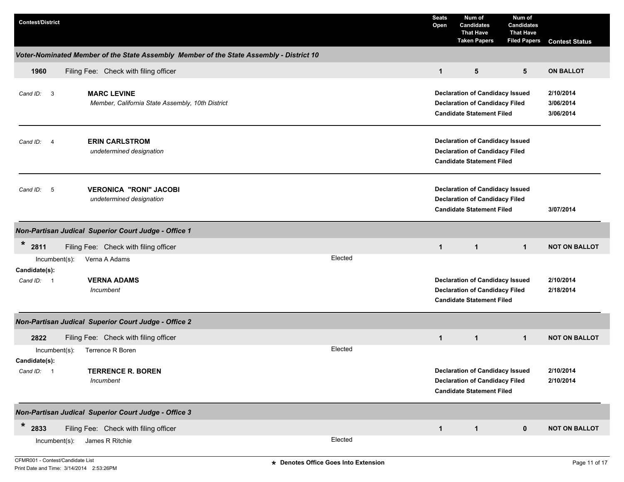| <b>Contest/District</b>                                                                                       | <b>Seats</b><br>Open | Num of<br><b>Candidates</b><br><b>That Have</b><br><b>Taken Papers</b>                                              | Num of<br><b>Candidates</b><br><b>That Have</b><br><b>Filed Papers</b> | <b>Contest Status</b>               |
|---------------------------------------------------------------------------------------------------------------|----------------------|---------------------------------------------------------------------------------------------------------------------|------------------------------------------------------------------------|-------------------------------------|
| Voter-Nominated Member of the State Assembly Member of the State Assembly - District 10                       |                      |                                                                                                                     |                                                                        |                                     |
| 1960<br>Filing Fee: Check with filing officer                                                                 | $\mathbf{1}$         | 5                                                                                                                   | 5                                                                      | <b>ON BALLOT</b>                    |
| <b>MARC LEVINE</b><br>$\overline{\mathbf{3}}$<br>Cand ID:<br>Member, California State Assembly, 10th District |                      | <b>Declaration of Candidacy Issued</b><br><b>Declaration of Candidacy Filed</b><br><b>Candidate Statement Filed</b> |                                                                        | 2/10/2014<br>3/06/2014<br>3/06/2014 |
| <b>ERIN CARLSTROM</b><br>Cand ID: 4<br>undetermined designation                                               |                      | <b>Declaration of Candidacy Issued</b><br><b>Declaration of Candidacy Filed</b><br><b>Candidate Statement Filed</b> |                                                                        |                                     |
| <b>VERONICA "RONI" JACOBI</b><br>$5\overline{)}$<br>Cand ID:<br>undetermined designation                      |                      | <b>Declaration of Candidacy Issued</b><br><b>Declaration of Candidacy Filed</b><br><b>Candidate Statement Filed</b> |                                                                        | 3/07/2014                           |
| Non-Partisan Judical Superior Court Judge - Office 1                                                          |                      |                                                                                                                     |                                                                        |                                     |
| $\ast$<br>2811<br>Filing Fee: Check with filing officer                                                       | $\mathbf{1}$         | $\mathbf{1}$                                                                                                        | $\mathbf{1}$                                                           | <b>NOT ON BALLOT</b>                |
| Elected<br>Verna A Adams<br>$Incumbent(s)$ :<br>Candidate(s):                                                 |                      |                                                                                                                     |                                                                        |                                     |
| <b>VERNA ADAMS</b><br>Cand ID: 1<br>Incumbent                                                                 |                      | <b>Declaration of Candidacy Issued</b><br><b>Declaration of Candidacy Filed</b><br><b>Candidate Statement Filed</b> |                                                                        | 2/10/2014<br>2/18/2014              |
| Non-Partisan Judical Superior Court Judge - Office 2                                                          |                      |                                                                                                                     |                                                                        |                                     |
| 2822<br>Filing Fee: Check with filing officer                                                                 | $\mathbf{1}$         | $\mathbf{1}$                                                                                                        | $\mathbf 1$                                                            | <b>NOT ON BALLOT</b>                |
| Elected<br><b>Terrence R Boren</b><br>$Incumbent(s)$ :<br>Candidate(s):                                       |                      |                                                                                                                     |                                                                        |                                     |
| <b>TERRENCE R. BOREN</b><br>Cand ID: 1<br>Incumbent                                                           |                      | <b>Declaration of Candidacy Issued</b><br><b>Declaration of Candidacy Filed</b><br><b>Candidate Statement Filed</b> |                                                                        | 2/10/2014<br>2/10/2014              |
| Non-Partisan Judical Superior Court Judge - Office 3                                                          |                      |                                                                                                                     |                                                                        |                                     |
| $*$ 2833<br>Filing Fee: Check with filing officer                                                             | $\mathbf{1}$         | $\mathbf{1}$                                                                                                        | $\mathbf 0$                                                            | <b>NOT ON BALLOT</b>                |
| Elected<br>James R Ritchie<br>Incumbent(s):                                                                   |                      |                                                                                                                     |                                                                        |                                     |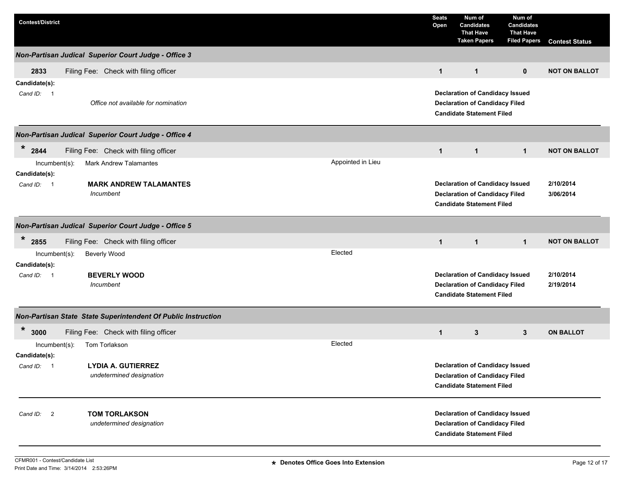| <b>Contest/District</b>           |                                                               |                   | <b>Seats</b><br>Open | Num of<br><b>Candidates</b><br><b>That Have</b><br><b>Taken Papers</b>                                              | Num of<br><b>Candidates</b><br><b>That Have</b><br><b>Filed Papers</b> | <b>Contest Status</b>  |
|-----------------------------------|---------------------------------------------------------------|-------------------|----------------------|---------------------------------------------------------------------------------------------------------------------|------------------------------------------------------------------------|------------------------|
|                                   | <b>Non-Partisan Judical Superior Court Judge - Office 3</b>   |                   |                      |                                                                                                                     |                                                                        |                        |
| 2833                              | Filing Fee: Check with filing officer                         |                   | $\mathbf{1}$         | $\mathbf{1}$                                                                                                        | $\mathbf{0}$                                                           | <b>NOT ON BALLOT</b>   |
| Candidate(s):<br>Cand ID: 1       | Office not available for nomination                           |                   |                      | <b>Declaration of Candidacy Issued</b><br><b>Declaration of Candidacy Filed</b><br><b>Candidate Statement Filed</b> |                                                                        |                        |
|                                   | Non-Partisan Judical Superior Court Judge - Office 4          |                   |                      |                                                                                                                     |                                                                        |                        |
| $\ast$<br>2844                    | Filing Fee: Check with filing officer                         |                   | $\mathbf{1}$         | $\mathbf{1}$                                                                                                        | $\mathbf{1}$                                                           | <b>NOT ON BALLOT</b>   |
| $Incumbent(s)$ :<br>Candidate(s): | <b>Mark Andrew Talamantes</b>                                 | Appointed in Lieu |                      |                                                                                                                     |                                                                        |                        |
| Cand ID: 1                        | <b>MARK ANDREW TALAMANTES</b><br>Incumbent                    |                   |                      | <b>Declaration of Candidacy Issued</b><br><b>Declaration of Candidacy Filed</b><br><b>Candidate Statement Filed</b> |                                                                        | 2/10/2014<br>3/06/2014 |
|                                   | Non-Partisan Judical Superior Court Judge - Office 5          |                   |                      |                                                                                                                     |                                                                        |                        |
| *<br>2855                         | Filing Fee: Check with filing officer                         |                   | $\mathbf{1}$         | $\mathbf{1}$                                                                                                        | $\mathbf{1}$                                                           | <b>NOT ON BALLOT</b>   |
| Incumbent(s):<br>Candidate(s):    | <b>Beverly Wood</b>                                           | Elected           |                      |                                                                                                                     |                                                                        |                        |
| Cand ID: 1                        | <b>BEVERLY WOOD</b><br>Incumbent                              |                   |                      | <b>Declaration of Candidacy Issued</b><br><b>Declaration of Candidacy Filed</b><br><b>Candidate Statement Filed</b> |                                                                        | 2/10/2014<br>2/19/2014 |
|                                   | Non-Partisan State State Superintendent Of Public Instruction |                   |                      |                                                                                                                     |                                                                        |                        |
| *<br>3000                         | Filing Fee: Check with filing officer                         |                   | $\mathbf{1}$         | 3                                                                                                                   | $3^{\circ}$                                                            | <b>ON BALLOT</b>       |
| $Incumbent(s)$ :<br>Candidate(s): | Tom Torlakson                                                 | Elected           |                      |                                                                                                                     |                                                                        |                        |
| Cand ID: 1                        | <b>LYDIA A. GUTIERREZ</b><br>undetermined designation         |                   |                      | <b>Declaration of Candidacy Issued</b><br><b>Declaration of Candidacy Filed</b><br><b>Candidate Statement Filed</b> |                                                                        |                        |
| Cand ID: 2                        | <b>TOM TORLAKSON</b><br>undetermined designation              |                   |                      | <b>Declaration of Candidacy Issued</b><br><b>Declaration of Candidacy Filed</b><br><b>Candidate Statement Filed</b> |                                                                        |                        |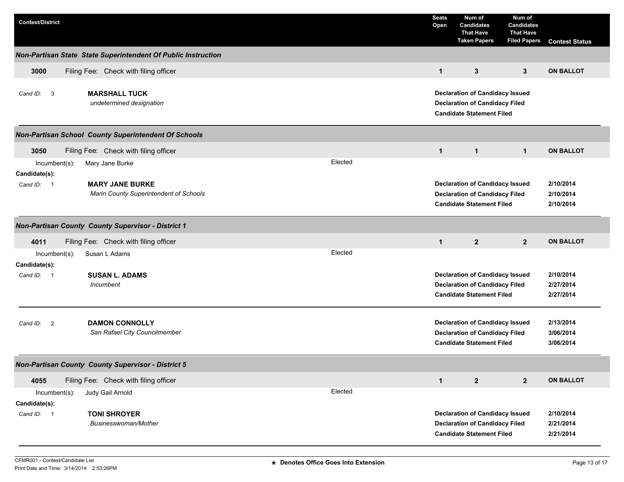| <b>Contest/District</b>                                   |                                                                  | <b>Seats</b><br>Open | Num of<br><b>Candidates</b><br><b>That Have</b><br><b>Taken Papers</b>                                              | Num of<br><b>Candidates</b><br><b>That Have</b><br><b>Filed Papers</b> | <b>Contest Status</b>               |  |  |
|-----------------------------------------------------------|------------------------------------------------------------------|----------------------|---------------------------------------------------------------------------------------------------------------------|------------------------------------------------------------------------|-------------------------------------|--|--|
|                                                           | Non-Partisan State State Superintendent Of Public Instruction    |                      |                                                                                                                     |                                                                        |                                     |  |  |
| 3000                                                      | Filing Fee: Check with filing officer                            | $\mathbf{1}$         | 3                                                                                                                   | 3                                                                      | <b>ON BALLOT</b>                    |  |  |
| Cand ID: 3                                                | <b>MARSHALL TUCK</b><br>undetermined designation                 |                      | <b>Declaration of Candidacy Issued</b><br><b>Declaration of Candidacy Filed</b><br><b>Candidate Statement Filed</b> |                                                                        |                                     |  |  |
|                                                           | <b>Non-Partisan School County Superintendent Of Schools</b>      |                      |                                                                                                                     |                                                                        |                                     |  |  |
| 3050                                                      | Filing Fee: Check with filing officer                            | $\mathbf{1}$         | $\mathbf{1}$                                                                                                        | $\mathbf 1$                                                            | <b>ON BALLOT</b>                    |  |  |
| $Incumbent(s)$ :                                          | Elected<br>Mary Jane Burke                                       |                      |                                                                                                                     |                                                                        |                                     |  |  |
| Candidate(s):<br>Cand ID: 1                               | <b>MARY JANE BURKE</b><br>Marin County Superintendent of Schools |                      | <b>Declaration of Candidacy Issued</b><br><b>Declaration of Candidacy Filed</b><br><b>Candidate Statement Filed</b> |                                                                        | 2/10/2014<br>2/10/2014<br>2/10/2014 |  |  |
|                                                           | <b>Non-Partisan County County Supervisor - District 1</b>        |                      |                                                                                                                     |                                                                        |                                     |  |  |
| 4011                                                      | Filing Fee: Check with filing officer                            | $\mathbf{1}$         | $\mathbf{2}$                                                                                                        | 2 <sup>2</sup>                                                         | <b>ON BALLOT</b>                    |  |  |
| Incumbent(s):<br>Candidate(s):                            | Elected<br>Susan L Adams                                         |                      |                                                                                                                     |                                                                        |                                     |  |  |
| Cand ID: 1                                                | <b>SUSAN L. ADAMS</b><br>Incumbent                               |                      | <b>Declaration of Candidacy Issued</b><br><b>Declaration of Candidacy Filed</b><br><b>Candidate Statement Filed</b> |                                                                        | 2/10/2014<br>2/27/2014<br>2/27/2014 |  |  |
| Cand ID:<br>$\overline{\phantom{0}}$                      | <b>DAMON CONNOLLY</b><br>San Rafael City Councilmember           |                      | <b>Declaration of Candidacy Issued</b><br><b>Declaration of Candidacy Filed</b><br><b>Candidate Statement Filed</b> |                                                                        | 2/13/2014<br>3/06/2014<br>3/06/2014 |  |  |
| <b>Non-Partisan County County Supervisor - District 5</b> |                                                                  |                      |                                                                                                                     |                                                                        |                                     |  |  |
| 4055                                                      | Filing Fee: Check with filing officer                            | $\mathbf{1}$         | $\mathbf{2}$                                                                                                        | $\mathbf{2}$                                                           | <b>ON BALLOT</b>                    |  |  |
| Incumbent(s):<br>Candidate(s):                            | Elected<br>Judy Gail Arnold                                      |                      |                                                                                                                     |                                                                        |                                     |  |  |
| Cand ID: 1                                                | <b>TONI SHROYER</b><br>Businesswoman/Mother                      |                      | <b>Declaration of Candidacy Issued</b><br><b>Declaration of Candidacy Filed</b><br><b>Candidate Statement Filed</b> |                                                                        | 2/10/2014<br>2/21/2014<br>2/21/2014 |  |  |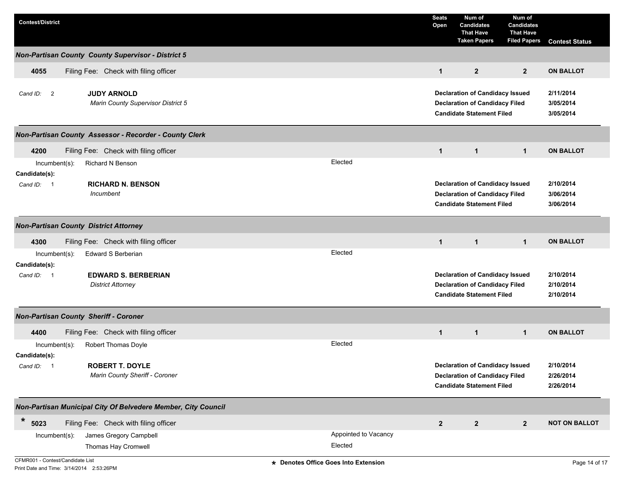| <b>Contest/District</b>                                                |                                 | <b>Seats</b><br>Open | Num of<br><b>Candidates</b><br><b>That Have</b><br><b>Taken Papers</b>                                              | Num of<br>Candidates<br><b>That Have</b><br><b>Filed Papers</b> | <b>Contest Status</b>               |
|------------------------------------------------------------------------|---------------------------------|----------------------|---------------------------------------------------------------------------------------------------------------------|-----------------------------------------------------------------|-------------------------------------|
| <b>Non-Partisan County County Supervisor - District 5</b>              |                                 |                      |                                                                                                                     |                                                                 |                                     |
| Filing Fee: Check with filing officer<br>4055                          |                                 | $\mathbf{1}$         | $\overline{2}$                                                                                                      | $\mathbf{2}$                                                    | <b>ON BALLOT</b>                    |
| <b>JUDY ARNOLD</b><br>Cand ID: 2<br>Marin County Supervisor District 5 |                                 |                      | <b>Declaration of Candidacy Issued</b><br><b>Declaration of Candidacy Filed</b><br><b>Candidate Statement Filed</b> |                                                                 | 2/11/2014<br>3/05/2014<br>3/05/2014 |
| Non-Partisan County Assessor - Recorder - County Clerk                 |                                 |                      |                                                                                                                     |                                                                 |                                     |
| 4200<br>Filing Fee: Check with filing officer                          |                                 | $\mathbf{1}$         | $\mathbf{1}$                                                                                                        | $\mathbf 1$                                                     | <b>ON BALLOT</b>                    |
| $Incumbent(s)$ :<br>Richard N Benson<br>Candidate(s):                  | Elected                         |                      |                                                                                                                     |                                                                 |                                     |
| <b>RICHARD N. BENSON</b><br>Cand ID: 1<br>Incumbent                    |                                 |                      | <b>Declaration of Candidacy Issued</b><br><b>Declaration of Candidacy Filed</b><br><b>Candidate Statement Filed</b> |                                                                 | 2/10/2014<br>3/06/2014<br>3/06/2014 |
| <b>Non-Partisan County District Attorney</b>                           |                                 |                      |                                                                                                                     |                                                                 |                                     |
| Filing Fee: Check with filing officer<br>4300                          |                                 | $\mathbf{1}$         | $\mathbf{1}$                                                                                                        | $\mathbf{1}$                                                    | <b>ON BALLOT</b>                    |
| Edward S Berberian<br>Incumbent(s):<br>Candidate(s):                   | Elected                         |                      |                                                                                                                     |                                                                 |                                     |
| <b>EDWARD S. BERBERIAN</b><br>Cand ID: 1<br><b>District Attorney</b>   |                                 |                      | <b>Declaration of Candidacy Issued</b><br><b>Declaration of Candidacy Filed</b><br><b>Candidate Statement Filed</b> |                                                                 | 2/10/2014<br>2/10/2014<br>2/10/2014 |
| <b>Non-Partisan County Sheriff - Coroner</b>                           |                                 |                      |                                                                                                                     |                                                                 |                                     |
| Filing Fee: Check with filing officer<br>4400                          |                                 | $\mathbf{1}$         | $\mathbf{1}$                                                                                                        | $\mathbf{1}$                                                    | <b>ON BALLOT</b>                    |
| Robert Thomas Doyle<br>$Incumbent(s)$ :<br>Candidate(s):               | Elected                         |                      |                                                                                                                     |                                                                 |                                     |
| <b>ROBERT T. DOYLE</b><br>Cand ID: 1<br>Marin County Sheriff - Coroner |                                 |                      | <b>Declaration of Candidacy Issued</b><br><b>Declaration of Candidacy Filed</b><br><b>Candidate Statement Filed</b> |                                                                 | 2/10/2014<br>2/26/2014<br>2/26/2014 |
| Non-Partisan Municipal City Of Belvedere Member, City Council          |                                 |                      |                                                                                                                     |                                                                 |                                     |
| $\ast$<br>5023<br>Filing Fee: Check with filing officer                |                                 | $\boldsymbol{2}$     | $\mathbf{2}$                                                                                                        | $\mathbf{2}$                                                    | <b>NOT ON BALLOT</b>                |
| James Gregory Campbell<br>Incumbent(s):<br>Thomas Hay Cromwell         | Appointed to Vacancy<br>Elected |                      |                                                                                                                     |                                                                 |                                     |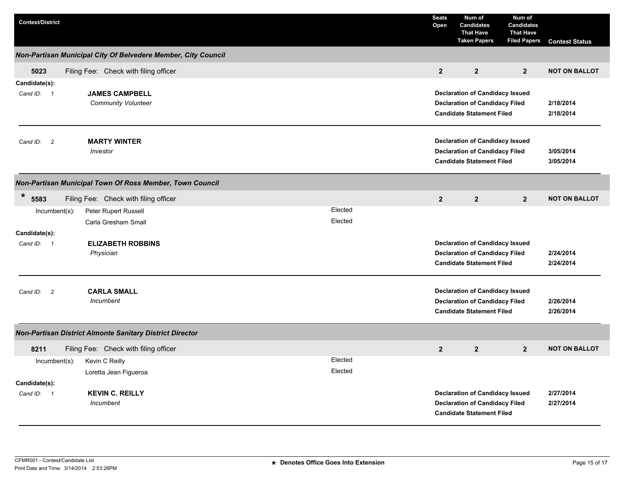| <b>Contest/District</b>              |                                                               |                    | <b>Seats</b><br>Open | Num of<br><b>Candidates</b><br><b>That Have</b><br><b>Taken Papers</b>                                              | Num of<br><b>Candidates</b><br><b>That Have</b><br><b>Filed Papers</b> | <b>Contest Status</b>  |
|--------------------------------------|---------------------------------------------------------------|--------------------|----------------------|---------------------------------------------------------------------------------------------------------------------|------------------------------------------------------------------------|------------------------|
|                                      | Non-Partisan Municipal City Of Belvedere Member, City Council |                    |                      |                                                                                                                     |                                                                        |                        |
| 5023                                 | Filing Fee: Check with filing officer                         |                    | $\overline{2}$       | $\overline{2}$                                                                                                      | $\overline{2}$                                                         | <b>NOT ON BALLOT</b>   |
| Candidate(s):<br>Cand ID: 1          | <b>JAMES CAMPBELL</b><br><b>Community Volunteer</b>           |                    |                      | <b>Declaration of Candidacy Issued</b><br><b>Declaration of Candidacy Filed</b><br><b>Candidate Statement Filed</b> |                                                                        | 2/18/2014<br>2/18/2014 |
| $\overline{\phantom{a}}$<br>Cand ID: | <b>MARTY WINTER</b><br>Investor                               |                    |                      | <b>Declaration of Candidacy Issued</b><br><b>Declaration of Candidacy Filed</b><br><b>Candidate Statement Filed</b> |                                                                        | 3/05/2014<br>3/05/2014 |
|                                      | Non-Partisan Municipal Town Of Ross Member, Town Council      |                    |                      |                                                                                                                     |                                                                        |                        |
| *<br>5583                            | Filing Fee: Check with filing officer                         |                    | $\overline{2}$       | $\overline{2}$                                                                                                      | $\overline{2}$                                                         | <b>NOT ON BALLOT</b>   |
| $Incumbent(s)$ :                     | Peter Rupert Russell<br>Carla Gresham Small                   | Elected<br>Elected |                      |                                                                                                                     |                                                                        |                        |
| Candidate(s):                        |                                                               |                    |                      |                                                                                                                     |                                                                        |                        |
| Cand ID: 1                           | <b>ELIZABETH ROBBINS</b><br>Physician                         |                    |                      | <b>Declaration of Candidacy Issued</b><br><b>Declaration of Candidacy Filed</b><br><b>Candidate Statement Filed</b> |                                                                        | 2/24/2014<br>2/24/2014 |
| $\overline{\mathbf{2}}$<br>Cand ID:  | <b>CARLA SMALL</b><br>Incumbent                               |                    |                      | <b>Declaration of Candidacy Issued</b><br><b>Declaration of Candidacy Filed</b><br><b>Candidate Statement Filed</b> |                                                                        | 2/26/2014<br>2/26/2014 |
|                                      | Non-Partisan District Almonte Sanitary District Director      |                    |                      |                                                                                                                     |                                                                        |                        |
| 8211                                 | Filing Fee: Check with filing officer                         |                    | $\overline{2}$       | $\overline{2}$                                                                                                      | 2 <sup>2</sup>                                                         | <b>NOT ON BALLOT</b>   |
| $Incumbent(s)$ :                     | Kevin C Reilly<br>Loretta Jean Figueroa                       | Elected<br>Elected |                      |                                                                                                                     |                                                                        |                        |
| Candidate(s):<br>Cand ID: 1          | <b>KEVIN C. REILLY</b><br>Incumbent                           |                    |                      | <b>Declaration of Candidacy Issued</b><br><b>Declaration of Candidacy Filed</b><br><b>Candidate Statement Filed</b> |                                                                        | 2/27/2014<br>2/27/2014 |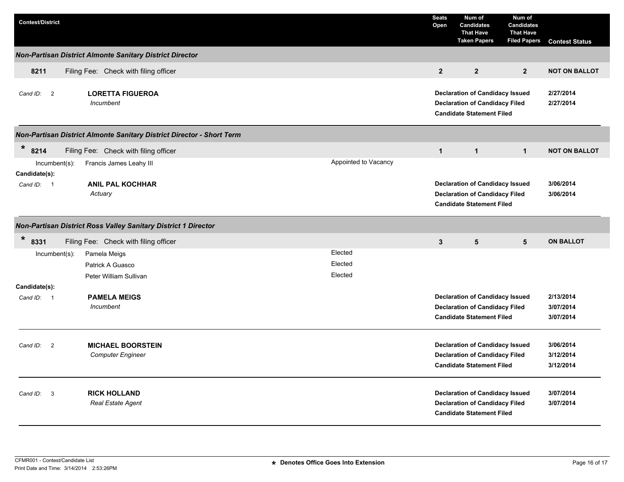| <b>Contest/District</b>              |                                                                       |                               | <b>Seats</b><br>Open | Num of<br><b>Candidates</b><br><b>That Have</b><br><b>Taken Papers</b>                                              | Num of<br><b>Candidates</b><br><b>That Have</b><br><b>Filed Papers</b> | <b>Contest Status</b>               |
|--------------------------------------|-----------------------------------------------------------------------|-------------------------------|----------------------|---------------------------------------------------------------------------------------------------------------------|------------------------------------------------------------------------|-------------------------------------|
|                                      | Non-Partisan District Almonte Sanitary District Director              |                               |                      |                                                                                                                     |                                                                        |                                     |
| 8211                                 | Filing Fee: Check with filing officer                                 |                               | $\overline{2}$       | $\overline{2}$                                                                                                      | $\overline{2}$                                                         | <b>NOT ON BALLOT</b>                |
| $\overline{\phantom{0}}$<br>Cand ID: | <b>LORETTA FIGUEROA</b><br>Incumbent                                  |                               |                      | <b>Declaration of Candidacy Issued</b><br><b>Declaration of Candidacy Filed</b><br><b>Candidate Statement Filed</b> |                                                                        | 2/27/2014<br>2/27/2014              |
|                                      | Non-Partisan District Almonte Sanitary District Director - Short Term |                               |                      |                                                                                                                     |                                                                        |                                     |
| $\star$<br>8214<br>Incumbent(s):     | Filing Fee: Check with filing officer<br>Francis James Leahy III      | Appointed to Vacancy          | $\mathbf{1}$         | $\mathbf{1}$                                                                                                        | $\mathbf{1}$                                                           | <b>NOT ON BALLOT</b>                |
| Candidate(s):<br>Cand ID: 1          | <b>ANIL PAL KOCHHAR</b><br>Actuary                                    |                               |                      | <b>Declaration of Candidacy Issued</b><br><b>Declaration of Candidacy Filed</b><br><b>Candidate Statement Filed</b> |                                                                        | 3/06/2014<br>3/06/2014              |
|                                      | Non-Partisan District Ross Valley Sanitary District 1 Director        |                               |                      |                                                                                                                     |                                                                        |                                     |
| *<br>8331                            | Filing Fee: Check with filing officer                                 |                               | $\mathbf{3}$         | $5\phantom{.0}$                                                                                                     | $5\phantom{.0}$                                                        | <b>ON BALLOT</b>                    |
| $Incumbent(s)$ :                     | Pamela Meigs<br>Patrick A Guasco<br>Peter William Sullivan            | Elected<br>Elected<br>Elected |                      |                                                                                                                     |                                                                        |                                     |
| Candidate(s):                        |                                                                       |                               |                      |                                                                                                                     |                                                                        |                                     |
| Cand ID: 1                           | <b>PAMELA MEIGS</b><br>Incumbent                                      |                               |                      | <b>Declaration of Candidacy Issued</b><br><b>Declaration of Candidacy Filed</b><br><b>Candidate Statement Filed</b> |                                                                        | 2/13/2014<br>3/07/2014<br>3/07/2014 |
| $\overline{\mathbf{c}}$<br>Cand ID:  | <b>MICHAEL BOORSTEIN</b><br><b>Computer Engineer</b>                  |                               |                      | <b>Declaration of Candidacy Issued</b><br><b>Declaration of Candidacy Filed</b><br><b>Candidate Statement Filed</b> |                                                                        | 3/06/2014<br>3/12/2014<br>3/12/2014 |
| Cand ID:<br>$\overline{\mathbf{3}}$  | <b>RICK HOLLAND</b><br><b>Real Estate Agent</b>                       |                               |                      | <b>Declaration of Candidacy Issued</b><br><b>Declaration of Candidacy Filed</b><br><b>Candidate Statement Filed</b> |                                                                        | 3/07/2014<br>3/07/2014              |